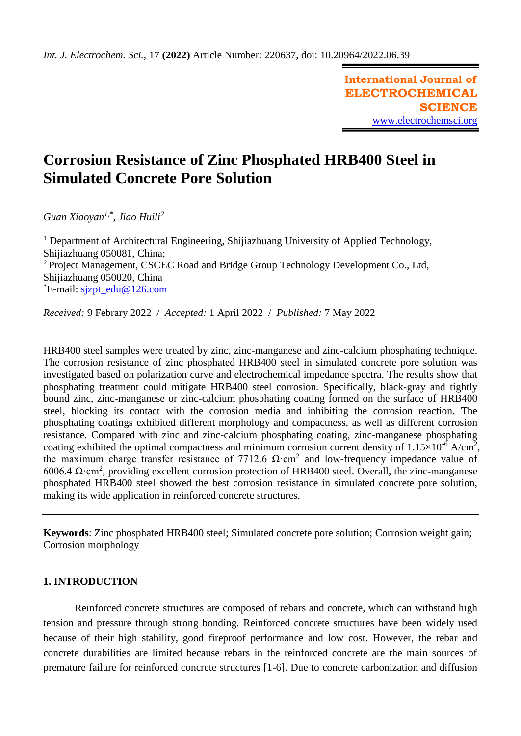**International Journal of ELECTROCHEMICAL SCIENCE** [www.electrochemsci.org](http://www.electrochemsci.org/)

# **Corrosion Resistance of Zinc Phosphated HRB400 Steel in Simulated Concrete Pore Solution**

*Guan Xiaoyan1,\* , Jiao Huili<sup>2</sup>*

<sup>1</sup> Department of Architectural Engineering, Shijiazhuang University of Applied Technology, Shijiazhuang 050081, China; <sup>2</sup> Project Management, CSCEC Road and Bridge Group Technology Development Co., Ltd, Shijiazhuang 050020, China \*E-mail: [sjzpt\\_edu@126.com](mailto:sjzpt_edu@126.com)

*Received:* 9 Febrary 2022/ *Accepted:* 1 April 2022 / *Published:* 7 May 2022

HRB400 steel samples were treated by zinc, zinc-manganese and zinc-calcium phosphating technique. The corrosion resistance of zinc phosphated HRB400 steel in simulated concrete pore solution was investigated based on polarization curve and electrochemical impedance spectra. The results show that phosphating treatment could mitigate HRB400 steel corrosion. Specifically, black-gray and tightly bound zinc, zinc-manganese or zinc-calcium phosphating coating formed on the surface of HRB400 steel, blocking its contact with the corrosion media and inhibiting the corrosion reaction. The phosphating coatings exhibited different morphology and compactness, as well as different corrosion resistance. Compared with zinc and zinc-calcium phosphating coating, zinc-manganese phosphating coating exhibited the optimal compactness and minimum corrosion current density of  $1.15 \times 10^{-6}$  A/cm<sup>2</sup>, the maximum charge transfer resistance of 7712.6  $\Omega$ ·cm<sup>2</sup> and low-frequency impedance value of 6006.4  $\Omega$ ·cm<sup>2</sup>, providing excellent corrosion protection of HRB400 steel. Overall, the zinc-manganese phosphated HRB400 steel showed the best corrosion resistance in simulated concrete pore solution, making its wide application in reinforced concrete structures.

**Keywords**: Zinc phosphated HRB400 steel; Simulated concrete pore solution; Corrosion weight gain; Corrosion morphology

# **1. INTRODUCTION**

Reinforced concrete structures are composed of rebars and concrete, which can withstand high tension and pressure through strong bonding. Reinforced concrete structures have been widely used because of their high stability, good fireproof performance and low cost. However, the rebar and concrete durabilities are limited because rebars in the reinforced concrete are the main sources of premature failure for reinforced concrete structures [1-6]. Due to concrete carbonization and diffusion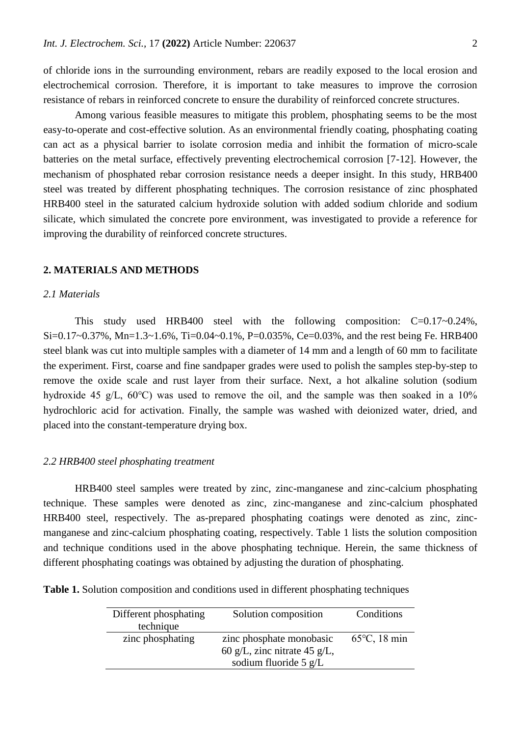of chloride ions in the surrounding environment, rebars are readily exposed to the local erosion and electrochemical corrosion. Therefore, it is important to take measures to improve the corrosion resistance of rebars in reinforced concrete to ensure the durability of reinforced concrete structures.

Among various feasible measures to mitigate this problem, phosphating seems to be the most easy-to-operate and cost-effective solution. As an environmental friendly coating, phosphating coating can act as a physical barrier to isolate corrosion media and inhibit the formation of micro-scale batteries on the metal surface, effectively preventing electrochemical corrosion [7-12]. However, the mechanism of phosphated rebar corrosion resistance needs a deeper insight. In this study, HRB400 steel was treated by different phosphating techniques. The corrosion resistance of zinc phosphated HRB400 steel in the saturated calcium hydroxide solution with added sodium chloride and sodium silicate, which simulated the concrete pore environment, was investigated to provide a reference for improving the durability of reinforced concrete structures.

#### **2. MATERIALS AND METHODS**

#### *2.1 Materials*

This study used HRB400 steel with the following composition: C=0.17~0.24%,  $Si=0.17\sim0.37\%$ , Mn= $1.3\sim1.6\%$ , Ti=0.04 $\sim0.1\%$ , P=0.035%, Ce=0.03%, and the rest being Fe. HRB400 steel blank was cut into multiple samples with a diameter of 14 mm and a length of 60 mm to facilitate the experiment. First, coarse and fine sandpaper grades were used to polish the samples step-by-step to remove the oxide scale and rust layer from their surface. Next, a hot alkaline solution (sodium hydroxide 45 g/L, 60℃) was used to remove the oil, and the sample was then soaked in a 10% hydrochloric acid for activation. Finally, the sample was washed with deionized water, dried, and placed into the constant-temperature drying box.

### *2.2 HRB400 steel phosphating treatment*

HRB400 steel samples were treated by zinc, zinc-manganese and zinc-calcium phosphating technique. These samples were denoted as zinc, zinc-manganese and zinc-calcium phosphated HRB400 steel, respectively. The as-prepared phosphating coatings were denoted as zinc, zincmanganese and zinc-calcium phosphating coating, respectively. Table 1 lists the solution composition and technique conditions used in the above phosphating technique. Herein, the same thickness of different phosphating coatings was obtained by adjusting the duration of phosphating.

| Different phosphating<br>technique | Solution composition                                                                        | Conditions             |
|------------------------------------|---------------------------------------------------------------------------------------------|------------------------|
| zinc phosphating                   | zinc phosphate monobasic<br>60 g/L, zinc nitrate 45 g/L,<br>sodium fluoride $5 \text{ g/L}$ | $65^{\circ}$ C, 18 min |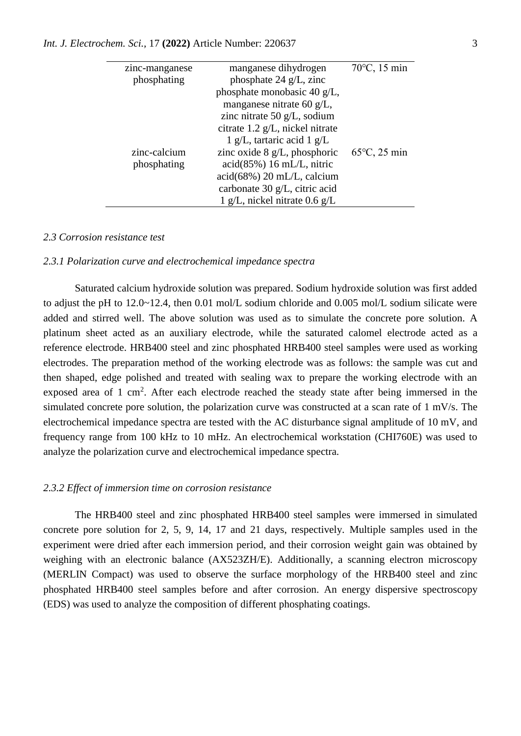| zinc-manganese | manganese dihydrogen                    | 70°C, 15 min           |
|----------------|-----------------------------------------|------------------------|
| phosphating    | phosphate 24 $g/L$ , zinc               |                        |
|                | phosphate monobasic 40 $g/L$ ,          |                        |
|                | manganese nitrate 60 g/L,               |                        |
|                | zinc nitrate 50 $g/L$ , sodium          |                        |
|                | citrate 1.2 g/L, nickel nitrate         |                        |
|                | $1$ g/L, tartaric acid $1$ g/L          |                        |
| zinc-calcium   | zinc oxide $8 \text{ g/L}$ , phosphoric | $65^{\circ}$ C, 25 min |
| phosphating    | $\alpha$ cid $(85\%)$ 16 mL/L, nitric   |                        |
|                | $\alpha$ cid $(68\%)$ 20 mL/L, calcium  |                        |
|                | carbonate 30 g/L, citric acid           |                        |
|                | 1 g/L, nickel nitrate $0.6$ g/L         |                        |

#### *2.3 Corrosion resistance test*

#### *2.3.1 Polarization curve and electrochemical impedance spectra*

Saturated calcium hydroxide solution was prepared. Sodium hydroxide solution was first added to adjust the pH to 12.0~12.4, then 0.01 mol/L sodium chloride and 0.005 mol/L sodium silicate were added and stirred well. The above solution was used as to simulate the concrete pore solution. A platinum sheet acted as an auxiliary electrode, while the saturated calomel electrode acted as a reference electrode. HRB400 steel and zinc phosphated HRB400 steel samples were used as working electrodes. The preparation method of the working electrode was as follows: the sample was cut and then shaped, edge polished and treated with sealing wax to prepare the working electrode with an exposed area of 1 cm<sup>2</sup>. After each electrode reached the steady state after being immersed in the simulated concrete pore solution, the polarization curve was constructed at a scan rate of 1 mV/s. The electrochemical impedance spectra are tested with the AC disturbance signal amplitude of 10 mV, and frequency range from 100 kHz to 10 mHz. An electrochemical workstation (CHI760E) was used to analyze the polarization curve and electrochemical impedance spectra.

#### *2.3.2 Effect of immersion time on corrosion resistance*

The HRB400 steel and zinc phosphated HRB400 steel samples were immersed in simulated concrete pore solution for 2, 5, 9, 14, 17 and 21 days, respectively. Multiple samples used in the experiment were dried after each immersion period, and their corrosion weight gain was obtained by weighing with an electronic balance (AX523ZH/E). Additionally, a scanning electron microscopy (MERLIN Compact) was used to observe the surface morphology of the HRB400 steel and zinc phosphated HRB400 steel samples before and after corrosion. An energy dispersive spectroscopy (EDS) was used to analyze the composition of different phosphating coatings.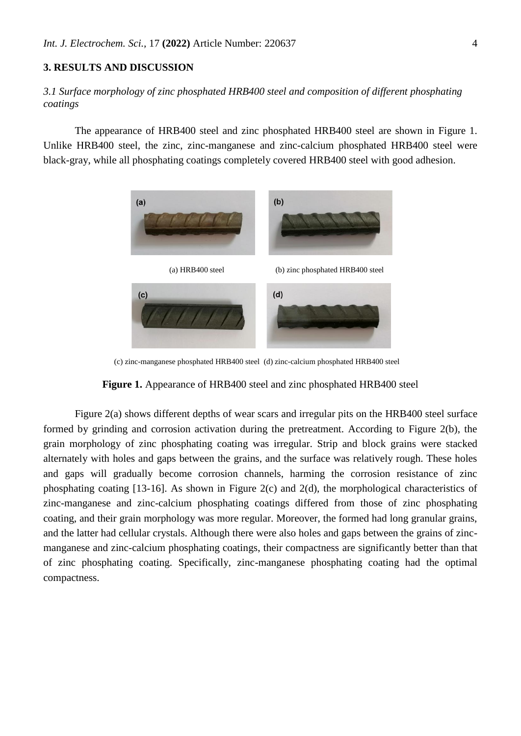# **3. RESULTS AND DISCUSSION**

# *3.1 Surface morphology of zinc phosphated HRB400 steel and composition of different phosphating coatings*

The appearance of HRB400 steel and zinc phosphated HRB400 steel are shown in Figure 1. Unlike HRB400 steel, the zinc, zinc-manganese and zinc-calcium phosphated HRB400 steel were black-gray, while all phosphating coatings completely covered HRB400 steel with good adhesion.



(c) zinc-manganese phosphated HRB400 steel (d) zinc-calcium phosphated HRB400 steel



Figure 2(a) shows different depths of wear scars and irregular pits on the HRB400 steel surface formed by grinding and corrosion activation during the pretreatment. According to Figure 2(b), the grain morphology of zinc phosphating coating was irregular. Strip and block grains were stacked alternately with holes and gaps between the grains, and the surface was relatively rough. These holes and gaps will gradually become corrosion channels, harming the corrosion resistance of zinc phosphating coating [13-16]. As shown in Figure 2(c) and 2(d), the morphological characteristics of zinc-manganese and zinc-calcium phosphating coatings differed from those of zinc phosphating coating, and their grain morphology was more regular. Moreover, the formed had long granular grains, and the latter had cellular crystals. Although there were also holes and gaps between the grains of zincmanganese and zinc-calcium phosphating coatings, their compactness are significantly better than that of zinc phosphating coating. Specifically, zinc-manganese phosphating coating had the optimal compactness.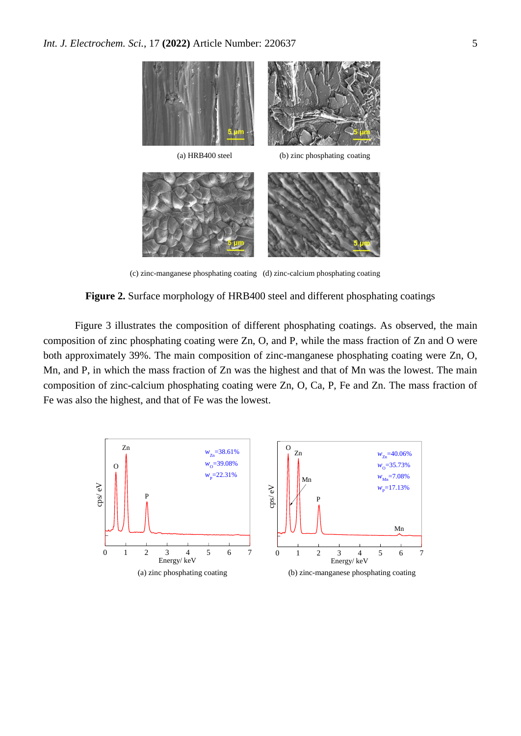

(c) zinc-manganese phosphating coating (d) zinc-calcium phosphating coating

**Figure 2.** Surface morphology of HRB400 steel and different phosphating coatings

Figure 3 illustrates the composition of different phosphating coatings. As observed, the main composition of zinc phosphating coating were Zn, O, and P, while the mass fraction of Zn and O were both approximately 39%. The main composition of zinc-manganese phosphating coating were Zn, O, Mn, and P, in which the mass fraction of Zn was the highest and that of Mn was the lowest. The main composition of zinc-calcium phosphating coating were Zn, O, Ca, P, Fe and Zn. The mass fraction of Fe was also the highest, and that of Fe was the lowest.

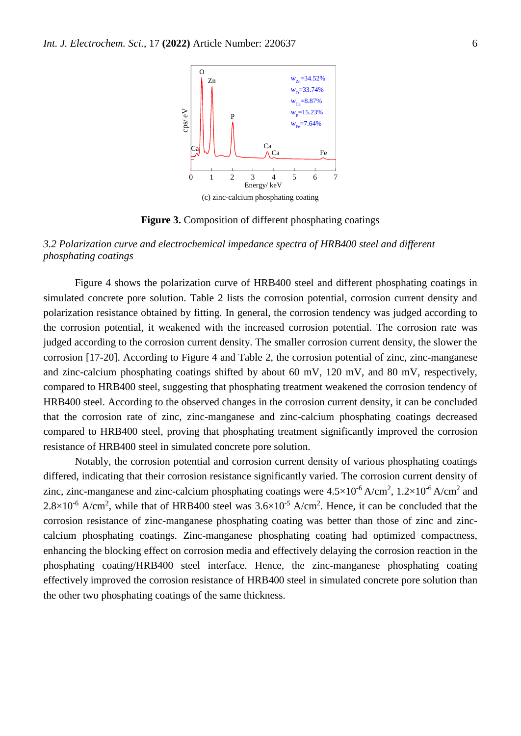

**Figure 3.** Composition of different phosphating coatings

# *3.2 Polarization curve and electrochemical impedance spectra of HRB400 steel and different phosphating coatings*

Figure 4 shows the polarization curve of HRB400 steel and different phosphating coatings in simulated concrete pore solution. Table 2 lists the corrosion potential, corrosion current density and polarization resistance obtained by fitting. In general, the corrosion tendency was judged according to the corrosion potential, it weakened with the increased corrosion potential. The corrosion rate was judged according to the corrosion current density. The smaller corrosion current density, the slower the corrosion [17-20]. According to Figure 4 and Table 2, the corrosion potential of zinc, zinc-manganese and zinc-calcium phosphating coatings shifted by about 60 mV, 120 mV, and 80 mV, respectively, compared to HRB400 steel, suggesting that phosphating treatment weakened the corrosion tendency of HRB400 steel. According to the observed changes in the corrosion current density, it can be concluded that the corrosion rate of zinc, zinc-manganese and zinc-calcium phosphating coatings decreased compared to HRB400 steel, proving that phosphating treatment significantly improved the corrosion resistance of HRB400 steel in simulated concrete pore solution.

Notably, the corrosion potential and corrosion current density of various phosphating coatings differed, indicating that their corrosion resistance significantly varied. The corrosion current density of zinc, zinc-manganese and zinc-calcium phosphating coatings were  $4.5 \times 10^{-6}$  A/cm<sup>2</sup>,  $1.2 \times 10^{-6}$  A/cm<sup>2</sup> and  $2.8 \times 10^{-6}$  A/cm<sup>2</sup>, while that of HRB400 steel was  $3.6 \times 10^{-5}$  A/cm<sup>2</sup>. Hence, it can be concluded that the corrosion resistance of zinc-manganese phosphating coating was better than those of zinc and zinccalcium phosphating coatings. Zinc-manganese phosphating coating had optimized compactness, enhancing the blocking effect on corrosion media and effectively delaying the corrosion reaction in the phosphating coating/HRB400 steel interface. Hence, the zinc-manganese phosphating coating effectively improved the corrosion resistance of HRB400 steel in simulated concrete pore solution than the other two phosphating coatings of the same thickness.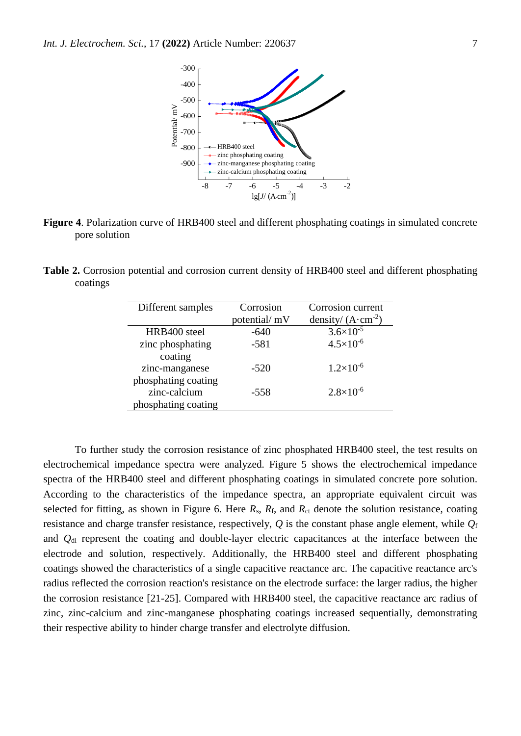

**Figure 4**. Polarization curve of HRB400 steel and different phosphating coatings in simulated concrete pore solution

**Table 2.** Corrosion potential and corrosion current density of HRB400 steel and different phosphating coatings

| Different samples   | Corrosion<br>potential/ mV | Corrosion current<br>density/ $(A \cdot cm^{-2})$ |
|---------------------|----------------------------|---------------------------------------------------|
| HRB400 steel        | $-640$                     | $3.6 \times 10^{-5}$                              |
| zinc phosphating    | $-581$                     | $4.5 \times 10^{-6}$                              |
| coating             |                            |                                                   |
| zinc-manganese      | $-520$                     | $1.2\times10^{-6}$                                |
| phosphating coating |                            |                                                   |
| zinc-calcium        | -558                       | $2.8 \times 10^{-6}$                              |
| phosphating coating |                            |                                                   |

To further study the corrosion resistance of zinc phosphated HRB400 steel, the test results on electrochemical impedance spectra were analyzed. Figure 5 shows the electrochemical impedance spectra of the HRB400 steel and different phosphating coatings in simulated concrete pore solution. According to the characteristics of the impedance spectra, an appropriate equivalent circuit was selected for fitting, as shown in Figure 6. Here  $R_s$ ,  $R_f$ , and  $R_{ct}$  denote the solution resistance, coating resistance and charge transfer resistance, respectively, *Q* is the constant phase angle element, while *Q*<sup>f</sup> and *Q*dl represent the coating and double-layer electric capacitances at the interface between the electrode and solution, respectively. Additionally, the HRB400 steel and different phosphating coatings showed the characteristics of a single capacitive reactance arc. The capacitive reactance arc's radius reflected the corrosion reaction's resistance on the electrode surface: the larger radius, the higher the corrosion resistance [21-25]. Compared with HRB400 steel, the capacitive reactance arc radius of zinc, zinc-calcium and zinc-manganese phosphating coatings increased sequentially, demonstrating their respective ability to hinder charge transfer and electrolyte diffusion.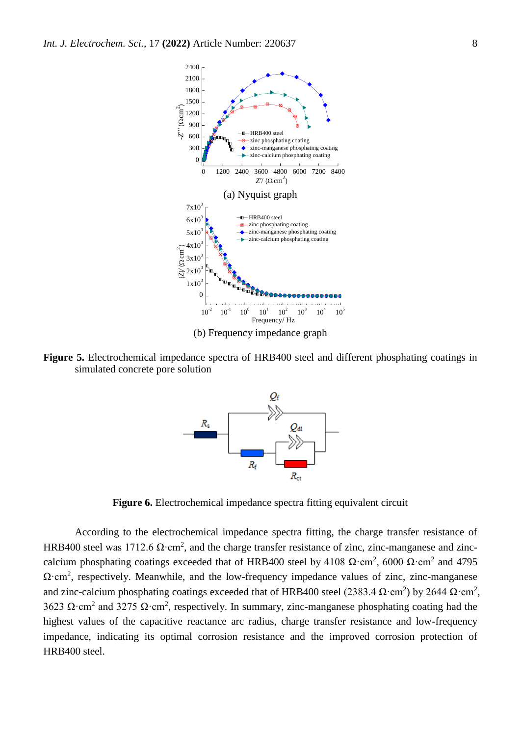

**Figure 5.** Electrochemical impedance spectra of HRB400 steel and different phosphating coatings in simulated concrete pore solution



**Figure 6.** Electrochemical impedance spectra fitting equivalent circuit

According to the electrochemical impedance spectra fitting, the charge transfer resistance of HRB400 steel was 1712.6  $\Omega$ ·cm<sup>2</sup>, and the charge transfer resistance of zinc, zinc-manganese and zinccalcium phosphating coatings exceeded that of HRB400 steel by 4108  $\Omega$ ·cm<sup>2</sup>, 6000  $\Omega$ ·cm<sup>2</sup> and 4795  $\Omega$ ·cm<sup>2</sup>, respectively. Meanwhile, and the low-frequency impedance values of zinc, zinc-manganese and zinc-calcium phosphating coatings exceeded that of HRB400 steel (2383.4  $\Omega$ ·cm<sup>2</sup>) by 2644  $\Omega$ ·cm<sup>2</sup>, 3623  $\Omega$ ·cm<sup>2</sup> and 3275  $\Omega$ ·cm<sup>2</sup>, respectively. In summary, zinc-manganese phosphating coating had the highest values of the capacitive reactance arc radius, charge transfer resistance and low-frequency impedance, indicating its optimal corrosion resistance and the improved corrosion protection of HRB400 steel.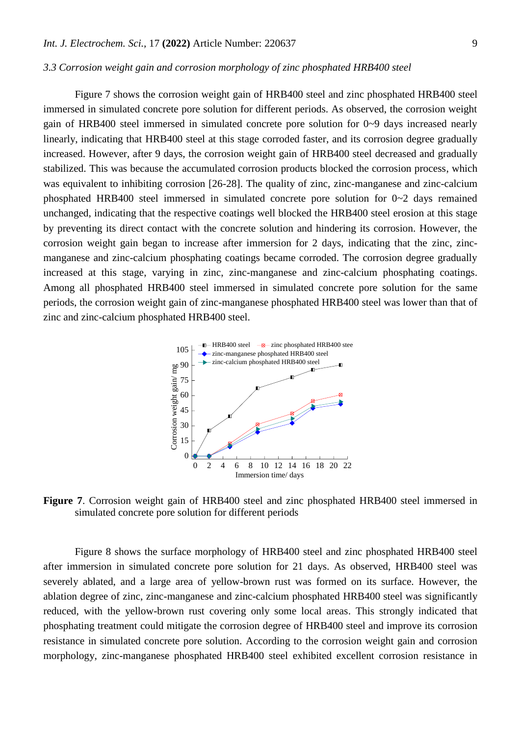#### *3.3 Corrosion weight gain and corrosion morphology of zinc phosphated HRB400 steel*

Figure 7 shows the corrosion weight gain of HRB400 steel and zinc phosphated HRB400 steel immersed in simulated concrete pore solution for different periods. As observed, the corrosion weight gain of HRB400 steel immersed in simulated concrete pore solution for 0~9 days increased nearly linearly, indicating that HRB400 steel at this stage corroded faster, and its corrosion degree gradually increased. However, after 9 days, the corrosion weight gain of HRB400 steel decreased and gradually stabilized. This was because the accumulated corrosion products blocked the corrosion process, which was equivalent to inhibiting corrosion [26-28]. The quality of zinc, zinc-manganese and zinc-calcium phosphated HRB400 steel immersed in simulated concrete pore solution for 0~2 days remained unchanged, indicating that the respective coatings well blocked the HRB400 steel erosion at this stage by preventing its direct contact with the concrete solution and hindering its corrosion. However, the corrosion weight gain began to increase after immersion for 2 days, indicating that the zinc, zincmanganese and zinc-calcium phosphating coatings became corroded. The corrosion degree gradually increased at this stage, varying in zinc, zinc-manganese and zinc-calcium phosphating coatings. Among all phosphated HRB400 steel immersed in simulated concrete pore solution for the same periods, the corrosion weight gain of zinc-manganese phosphated HRB400 steel was lower than that of zinc and zinc-calcium phosphated HRB400 steel.



**Figure 7**. Corrosion weight gain of HRB400 steel and zinc phosphated HRB400 steel immersed in simulated concrete pore solution for different periods

Figure 8 shows the surface morphology of HRB400 steel and zinc phosphated HRB400 steel after immersion in simulated concrete pore solution for 21 days. As observed, HRB400 steel was severely ablated, and a large area of yellow-brown rust was formed on its surface. However, the ablation degree of zinc, zinc-manganese and zinc-calcium phosphated HRB400 steel was significantly reduced, with the yellow-brown rust covering only some local areas. This strongly indicated that phosphating treatment could mitigate the corrosion degree of HRB400 steel and improve its corrosion resistance in simulated concrete pore solution. According to the corrosion weight gain and corrosion morphology, zinc-manganese phosphated HRB400 steel exhibited excellent corrosion resistance in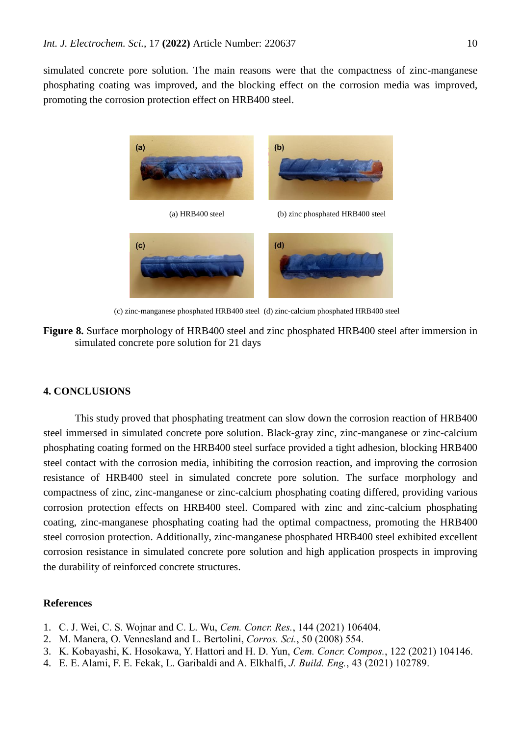simulated concrete pore solution. The main reasons were that the compactness of zinc-manganese phosphating coating was improved, and the blocking effect on the corrosion media was improved, promoting the corrosion protection effect on HRB400 steel.



(c) zinc-manganese phosphated HRB400 steel (d) zinc-calcium phosphated HRB400 steel



## **4. CONCLUSIONS**

This study proved that phosphating treatment can slow down the corrosion reaction of HRB400 steel immersed in simulated concrete pore solution. Black-gray zinc, zinc-manganese or zinc-calcium phosphating coating formed on the HRB400 steel surface provided a tight adhesion, blocking HRB400 steel contact with the corrosion media, inhibiting the corrosion reaction, and improving the corrosion resistance of HRB400 steel in simulated concrete pore solution. The surface morphology and compactness of zinc, zinc-manganese or zinc-calcium phosphating coating differed, providing various corrosion protection effects on HRB400 steel. Compared with zinc and zinc-calcium phosphating coating, zinc-manganese phosphating coating had the optimal compactness, promoting the HRB400 steel corrosion protection. Additionally, zinc-manganese phosphated HRB400 steel exhibited excellent corrosion resistance in simulated concrete pore solution and high application prospects in improving the durability of reinforced concrete structures.

#### **References**

- 1. C. J. Wei, C. S. Wojnar and C. L. Wu, *Cem. Concr. Res.*, 144 (2021) 106404.
- 2. M. Manera, O. Vennesland and L. Bertolini, *Corros. Sci.*, 50 (2008) 554.
- 3. K. Kobayashi, K. Hosokawa, Y. Hattori and H. D. Yun, *Cem. Concr. Compos.*, 122 (2021) 104146.
- 4. E. E. Alami, F. E. Fekak, L. Garibaldi and A. Elkhalfi, *J. Build. Eng.*, 43 (2021) 102789.